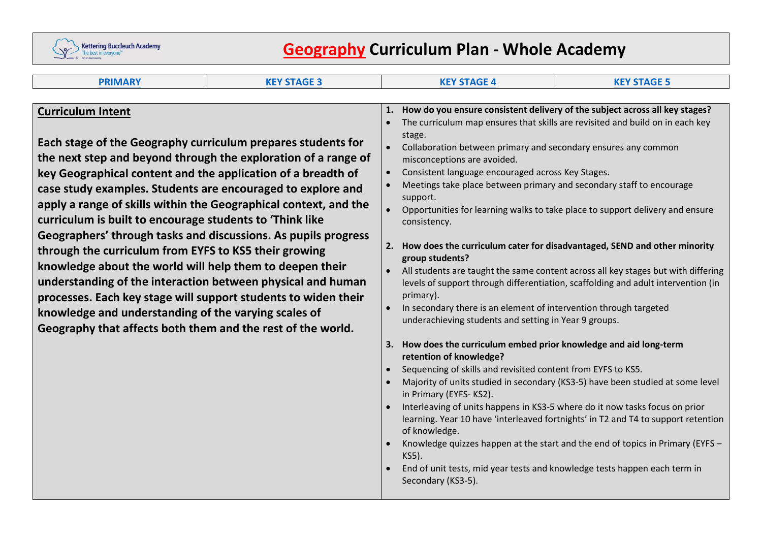

# **Geography Curriculum Plan - Whole Academy**

| <b>PRIMARY</b>                                                                                                                                                                                                                                                                                                                                                                                                                                                                                                                                                                                                                                                                                                                                                                                                                                                           | <b>KEY STAGE 3</b> |                                                                                                                                                                                                                                                                                                                                                                                                                                                                                                                                                                                                                                                                                                                                                                                                                                                                                                                                                                                                                                                                                                                                                                                                                                                                                                                                                   | <b>KEY STAGE 4</b>                                                                                                                                                                                                                                                         | <b>KEY STAGE 5</b> |
|--------------------------------------------------------------------------------------------------------------------------------------------------------------------------------------------------------------------------------------------------------------------------------------------------------------------------------------------------------------------------------------------------------------------------------------------------------------------------------------------------------------------------------------------------------------------------------------------------------------------------------------------------------------------------------------------------------------------------------------------------------------------------------------------------------------------------------------------------------------------------|--------------------|---------------------------------------------------------------------------------------------------------------------------------------------------------------------------------------------------------------------------------------------------------------------------------------------------------------------------------------------------------------------------------------------------------------------------------------------------------------------------------------------------------------------------------------------------------------------------------------------------------------------------------------------------------------------------------------------------------------------------------------------------------------------------------------------------------------------------------------------------------------------------------------------------------------------------------------------------------------------------------------------------------------------------------------------------------------------------------------------------------------------------------------------------------------------------------------------------------------------------------------------------------------------------------------------------------------------------------------------------|----------------------------------------------------------------------------------------------------------------------------------------------------------------------------------------------------------------------------------------------------------------------------|--------------------|
| <b>Curriculum Intent</b><br>Each stage of the Geography curriculum prepares students for<br>the next step and beyond through the exploration of a range of<br>key Geographical content and the application of a breadth of<br>case study examples. Students are encouraged to explore and<br>apply a range of skills within the Geographical context, and the<br>curriculum is built to encourage students to 'Think like<br>Geographers' through tasks and discussions. As pupils progress<br>through the curriculum from EYFS to KS5 their growing<br>knowledge about the world will help them to deepen their<br>understanding of the interaction between physical and human<br>processes. Each key stage will support students to widen their<br>knowledge and understanding of the varying scales of<br>Geography that affects both them and the rest of the world. |                    | How do you ensure consistent delivery of the subject across all key stages?<br>1.<br>The curriculum map ensures that skills are revisited and build on in each key<br>stage.<br>Collaboration between primary and secondary ensures any common<br>$\bullet$<br>misconceptions are avoided.<br>Consistent language encouraged across Key Stages.<br>$\bullet$<br>Meetings take place between primary and secondary staff to encourage<br>support.<br>Opportunities for learning walks to take place to support delivery and ensure<br>consistency.<br>2. How does the curriculum cater for disadvantaged, SEND and other minority<br>group students?<br>All students are taught the same content across all key stages but with differing<br>$\bullet$<br>levels of support through differentiation, scaffolding and adult intervention (in<br>primary).<br>In secondary there is an element of intervention through targeted<br>underachieving students and setting in Year 9 groups.<br>3. How does the curriculum embed prior knowledge and aid long-term<br>retention of knowledge?<br>Sequencing of skills and revisited content from EYFS to KS5.<br>Majority of units studied in secondary (KS3-5) have been studied at some level<br>in Primary (EYFS-KS2).<br>Interleaving of units happens in KS3-5 where do it now tasks focus on prior |                                                                                                                                                                                                                                                                            |                    |
|                                                                                                                                                                                                                                                                                                                                                                                                                                                                                                                                                                                                                                                                                                                                                                                                                                                                          |                    |                                                                                                                                                                                                                                                                                                                                                                                                                                                                                                                                                                                                                                                                                                                                                                                                                                                                                                                                                                                                                                                                                                                                                                                                                                                                                                                                                   | learning. Year 10 have 'interleaved fortnights' in T2 and T4 to support retention<br>of knowledge.<br>Knowledge quizzes happen at the start and the end of topics in Primary (EYFS -<br>KS5).<br>End of unit tests, mid year tests and knowledge tests happen each term in |                    |
|                                                                                                                                                                                                                                                                                                                                                                                                                                                                                                                                                                                                                                                                                                                                                                                                                                                                          |                    |                                                                                                                                                                                                                                                                                                                                                                                                                                                                                                                                                                                                                                                                                                                                                                                                                                                                                                                                                                                                                                                                                                                                                                                                                                                                                                                                                   | Secondary (KS3-5).                                                                                                                                                                                                                                                         |                    |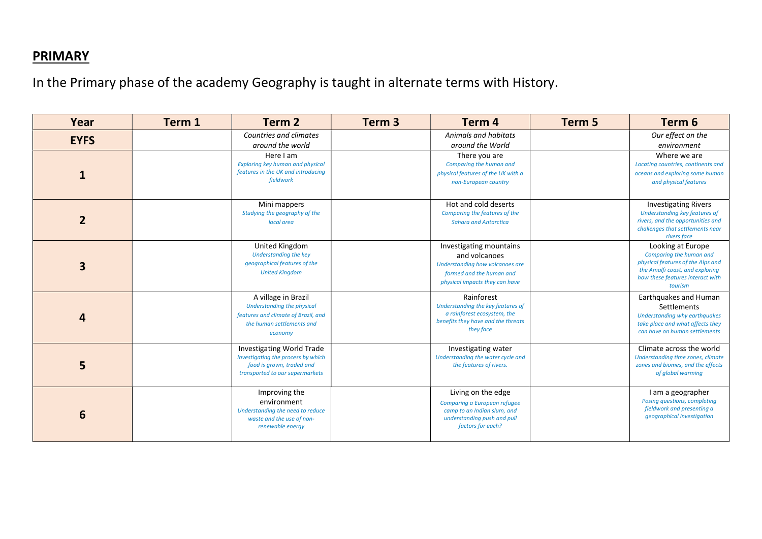#### **PRIMARY**

In the Primary phase of the academy Geography is taught in alternate terms with History.

| Year            | Term 1 | Term 2                                                                                                                                 | Term <sub>3</sub> | Term 4                                                                                                                                    | Term 5 | Term 6                                                                                                                                                              |
|-----------------|--------|----------------------------------------------------------------------------------------------------------------------------------------|-------------------|-------------------------------------------------------------------------------------------------------------------------------------------|--------|---------------------------------------------------------------------------------------------------------------------------------------------------------------------|
| <b>EYFS</b>     |        | Countries and climates<br>around the world                                                                                             |                   | Animals and habitats<br>around the World                                                                                                  |        | Our effect on the<br>environment                                                                                                                                    |
| 1               |        | Here I am<br><b>Exploring key human and physical</b><br>features in the UK and introducing<br>fieldwork                                |                   | There you are<br>Comparing the human and<br>physical features of the UK with a<br>non-European country                                    |        | Where we are<br>Locating countries, continents and<br>oceans and exploring some human<br>and physical features                                                      |
| $\overline{2}$  |        | Mini mappers<br>Studying the geography of the<br>local area                                                                            |                   | Hot and cold deserts<br>Comparing the features of the<br><b>Sahara and Antarctica</b>                                                     |        | <b>Investigating Rivers</b><br>Understanding key features of<br>rivers, and the opportunities and<br>challenges that settlements near<br>rivers face                |
| 3               |        | United Kingdom<br><b>Understanding the key</b><br>geographical features of the<br><b>United Kingdom</b>                                |                   | Investigating mountains<br>and volcanoes<br>Understanding how volcanoes are<br>formed and the human and<br>physical impacts they can have |        | Looking at Europe<br>Comparing the human and<br>physical features of the Alps and<br>the Amalfi coast, and exploring<br>how these features interact with<br>tourism |
| 4               |        | A village in Brazil<br>Understanding the physical<br>features and climate of Brazil, and<br>the human settlements and<br>economy       |                   | Rainforest<br>Understanding the key features of<br>a rainforest ecosystem, the<br>benefits they have and the threats<br>they face         |        | Earthquakes and Human<br>Settlements<br>Understanding why earthquakes<br>take place and what affects they<br>can have on human settlements                          |
| 5               |        | <b>Investigating World Trade</b><br>Investigating the process by which<br>food is grown, traded and<br>transported to our supermarkets |                   | Investigating water<br>Understanding the water cycle and<br>the features of rivers.                                                       |        | Climate across the world<br>Understanding time zones, climate<br>zones and biomes, and the effects<br>of global warming                                             |
| $6\phantom{1}6$ |        | Improving the<br>environment<br>Understanding the need to reduce<br>waste and the use of non-<br>renewable energy                      |                   | Living on the edge<br>Comparing a European refugee<br>camp to an Indian slum, and<br>understanding push and pull<br>factors for each?     |        | I am a geographer<br>Posing questions, completing<br>fieldwork and presenting a<br>geographical investigation                                                       |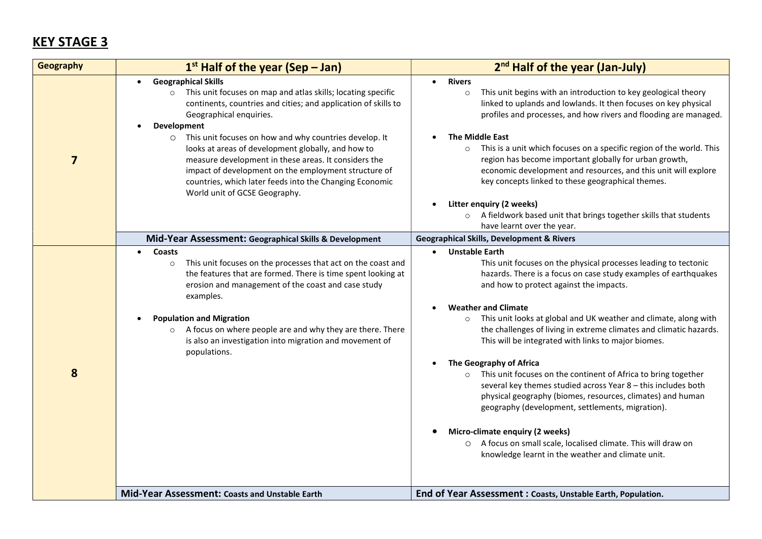# KEY STAGE 3

| Geography      | $1st$ Half of the year (Sep – Jan)                                                                                                                                                                                                                                                                                                                                                                                                                                                                                                                                    | 2 <sup>nd</sup> Half of the year (Jan-July)                                                                                                                                                                                                                                                                                                                                                                                                                                                                                                                                                                                                                                                                                                                                                                                                                                                                                 |
|----------------|-----------------------------------------------------------------------------------------------------------------------------------------------------------------------------------------------------------------------------------------------------------------------------------------------------------------------------------------------------------------------------------------------------------------------------------------------------------------------------------------------------------------------------------------------------------------------|-----------------------------------------------------------------------------------------------------------------------------------------------------------------------------------------------------------------------------------------------------------------------------------------------------------------------------------------------------------------------------------------------------------------------------------------------------------------------------------------------------------------------------------------------------------------------------------------------------------------------------------------------------------------------------------------------------------------------------------------------------------------------------------------------------------------------------------------------------------------------------------------------------------------------------|
| $\overline{7}$ | <b>Geographical Skills</b><br>$\bullet$<br>This unit focuses on map and atlas skills; locating specific<br>$\circ$<br>continents, countries and cities; and application of skills to<br>Geographical enquiries.<br>Development<br>This unit focuses on how and why countries develop. It<br>$\circ$<br>looks at areas of development globally, and how to<br>measure development in these areas. It considers the<br>impact of development on the employment structure of<br>countries, which later feeds into the Changing Economic<br>World unit of GCSE Geography. | <b>Rivers</b><br>$\bullet$<br>This unit begins with an introduction to key geological theory<br>$\circ$<br>linked to uplands and lowlands. It then focuses on key physical<br>profiles and processes, and how rivers and flooding are managed.<br><b>The Middle East</b><br>This is a unit which focuses on a specific region of the world. This<br>region has become important globally for urban growth,<br>economic development and resources, and this unit will explore<br>key concepts linked to these geographical themes.                                                                                                                                                                                                                                                                                                                                                                                           |
|                |                                                                                                                                                                                                                                                                                                                                                                                                                                                                                                                                                                       | Litter enquiry (2 weeks)<br>$\bullet$<br>A fieldwork based unit that brings together skills that students<br>$\circ$<br>have learnt over the year.                                                                                                                                                                                                                                                                                                                                                                                                                                                                                                                                                                                                                                                                                                                                                                          |
|                | Mid-Year Assessment: Geographical Skills & Development                                                                                                                                                                                                                                                                                                                                                                                                                                                                                                                | <b>Geographical Skills, Development &amp; Rivers</b>                                                                                                                                                                                                                                                                                                                                                                                                                                                                                                                                                                                                                                                                                                                                                                                                                                                                        |
| 8              | Coasts<br>$\bullet$<br>This unit focuses on the processes that act on the coast and<br>$\circ$<br>the features that are formed. There is time spent looking at<br>erosion and management of the coast and case study<br>examples.<br><b>Population and Migration</b><br>A focus on where people are and why they are there. There<br>$\circ$<br>is also an investigation into migration and movement of<br>populations.                                                                                                                                               | <b>Unstable Earth</b><br>This unit focuses on the physical processes leading to tectonic<br>hazards. There is a focus on case study examples of earthquakes<br>and how to protect against the impacts.<br><b>Weather and Climate</b><br>This unit looks at global and UK weather and climate, along with<br>$\circ$<br>the challenges of living in extreme climates and climatic hazards.<br>This will be integrated with links to major biomes.<br>The Geography of Africa<br>$\bullet$<br>This unit focuses on the continent of Africa to bring together<br>$\circ$<br>several key themes studied across Year 8 - this includes both<br>physical geography (biomes, resources, climates) and human<br>geography (development, settlements, migration).<br>Micro-climate enquiry (2 weeks)<br>A focus on small scale, localised climate. This will draw on<br>$\circ$<br>knowledge learnt in the weather and climate unit. |
|                | Mid-Year Assessment: Coasts and Unstable Earth                                                                                                                                                                                                                                                                                                                                                                                                                                                                                                                        | End of Year Assessment : Coasts, Unstable Earth, Population.                                                                                                                                                                                                                                                                                                                                                                                                                                                                                                                                                                                                                                                                                                                                                                                                                                                                |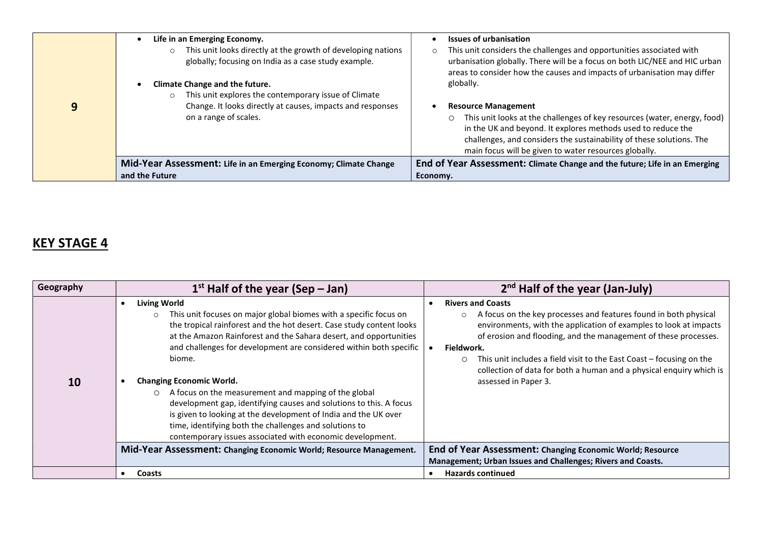|   | Life in an Emerging Economy.<br>This unit looks directly at the growth of developing nations<br>globally; focusing on India as a case study example. | <b>Issues of urbanisation</b><br>This unit considers the challenges and opportunities associated with<br>$\circ$<br>urbanisation globally. There will be a focus on both LIC/NEE and HIC urban<br>areas to consider how the causes and impacts of urbanisation may differ            |
|---|------------------------------------------------------------------------------------------------------------------------------------------------------|--------------------------------------------------------------------------------------------------------------------------------------------------------------------------------------------------------------------------------------------------------------------------------------|
| 9 | Climate Change and the future.<br>This unit explores the contemporary issue of Climate<br>Change. It looks directly at causes, impacts and responses | globally.<br><b>Resource Management</b>                                                                                                                                                                                                                                              |
|   | on a range of scales.                                                                                                                                | This unit looks at the challenges of key resources (water, energy, food)<br>$\circ$<br>in the UK and beyond. It explores methods used to reduce the<br>challenges, and considers the sustainability of these solutions. The<br>main focus will be given to water resources globally. |
|   | Mid-Year Assessment: Life in an Emerging Economy; Climate Change                                                                                     | End of Year Assessment: Climate Change and the future; Life in an Emerging                                                                                                                                                                                                           |
|   | and the Future                                                                                                                                       | Economy.                                                                                                                                                                                                                                                                             |

# KEY STAGE 4

| Geography | $1st$ Half of the year (Sep – Jan)                                                                                                                                                                                                                                                                                                                                                                                                                                                                                                                                                                                                                                                                     | $2nd$ Half of the year (Jan-July)                                                                                                                                                                                                                                                                                                                                                                                         |  |
|-----------|--------------------------------------------------------------------------------------------------------------------------------------------------------------------------------------------------------------------------------------------------------------------------------------------------------------------------------------------------------------------------------------------------------------------------------------------------------------------------------------------------------------------------------------------------------------------------------------------------------------------------------------------------------------------------------------------------------|---------------------------------------------------------------------------------------------------------------------------------------------------------------------------------------------------------------------------------------------------------------------------------------------------------------------------------------------------------------------------------------------------------------------------|--|
| 10        | <b>Living World</b><br>This unit focuses on major global biomes with a specific focus on<br>$\circ$<br>the tropical rainforest and the hot desert. Case study content looks<br>at the Amazon Rainforest and the Sahara desert, and opportunities<br>and challenges for development are considered within both specific<br>biome.<br><b>Changing Economic World.</b><br>A focus on the measurement and mapping of the global<br>$\circ$<br>development gap, identifying causes and solutions to this. A focus<br>is given to looking at the development of India and the UK over<br>time, identifying both the challenges and solutions to<br>contemporary issues associated with economic development. | <b>Rivers and Coasts</b><br>A focus on the key processes and features found in both physical<br>environments, with the application of examples to look at impacts<br>of erosion and flooding, and the management of these processes.<br>Fieldwork.<br>This unit includes a field visit to the East Coast – focusing on the<br>collection of data for both a human and a physical enquiry which is<br>assessed in Paper 3. |  |
|           | Mid-Year Assessment: Changing Economic World; Resource Management.                                                                                                                                                                                                                                                                                                                                                                                                                                                                                                                                                                                                                                     | End of Year Assessment: Changing Economic World; Resource<br>Management; Urban Issues and Challenges; Rivers and Coasts.                                                                                                                                                                                                                                                                                                  |  |
|           | Coasts                                                                                                                                                                                                                                                                                                                                                                                                                                                                                                                                                                                                                                                                                                 | <b>Hazards continued</b>                                                                                                                                                                                                                                                                                                                                                                                                  |  |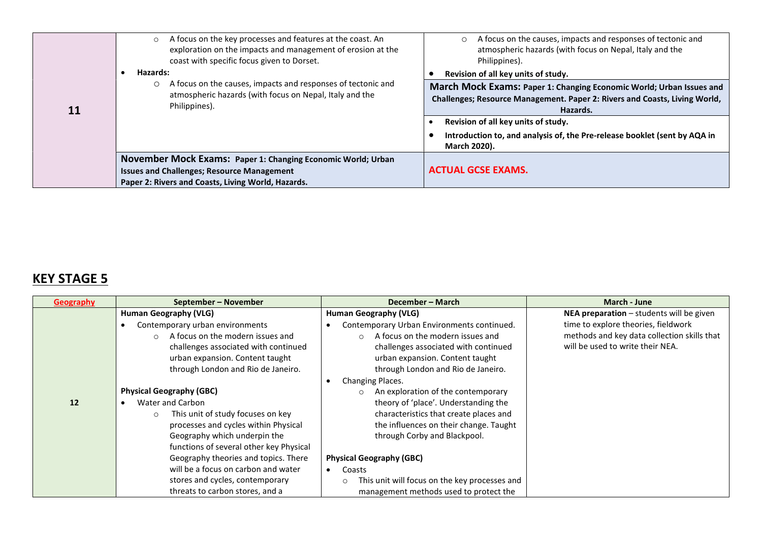|    | A focus on the key processes and features at the coast. An<br>$\circ$<br>exploration on the impacts and management of erosion at the<br>coast with specific focus given to Dorset. | A focus on the causes, impacts and responses of tectonic and<br>$\circ$<br>atmospheric hazards (with focus on Nepal, Italy and the<br>Philippines).            |  |
|----|------------------------------------------------------------------------------------------------------------------------------------------------------------------------------------|----------------------------------------------------------------------------------------------------------------------------------------------------------------|--|
|    | Hazards:                                                                                                                                                                           | Revision of all key units of study.                                                                                                                            |  |
| 11 | A focus on the causes, impacts and responses of tectonic and<br>atmospheric hazards (with focus on Nepal, Italy and the<br>Philippines).                                           | March Mock Exams: Paper 1: Changing Economic World; Urban Issues and<br>Challenges; Resource Management. Paper 2: Rivers and Coasts, Living World,<br>Hazards. |  |
|    |                                                                                                                                                                                    | Revision of all key units of study.                                                                                                                            |  |
|    |                                                                                                                                                                                    | Introduction to, and analysis of, the Pre-release booklet (sent by AQA in<br>March 2020).                                                                      |  |
|    | November Mock Exams: Paper 1: Changing Economic World; Urban                                                                                                                       |                                                                                                                                                                |  |
|    | <b>Issues and Challenges; Resource Management</b>                                                                                                                                  | <b>ACTUAL GCSE EXAMS.</b>                                                                                                                                      |  |
|    | Paper 2: Rivers and Coasts, Living World, Hazards.                                                                                                                                 |                                                                                                                                                                |  |

# KEY STAGE 5

| Geography | September – November                         | December - March                                         | March - June                                |
|-----------|----------------------------------------------|----------------------------------------------------------|---------------------------------------------|
|           | <b>Human Geography (VLG)</b>                 | <b>Human Geography (VLG)</b>                             | NEA preparation - students will be given    |
|           | Contemporary urban environments              | Contemporary Urban Environments continued.               | time to explore theories, fieldwork         |
|           | A focus on the modern issues and<br>$\cap$   | A focus on the modern issues and<br>$\cap$               | methods and key data collection skills that |
|           | challenges associated with continued         | challenges associated with continued                     | will be used to write their NEA.            |
|           | urban expansion. Content taught              | urban expansion. Content taught                          |                                             |
|           | through London and Rio de Janeiro.           | through London and Rio de Janeiro.                       |                                             |
|           |                                              | Changing Places.                                         |                                             |
|           | <b>Physical Geography (GBC)</b>              | An exploration of the contemporary<br>$\circ$            |                                             |
| 12        | Water and Carbon                             | theory of 'place'. Understanding the                     |                                             |
|           | This unit of study focuses on key<br>$\circ$ | characteristics that create places and                   |                                             |
|           | processes and cycles within Physical         | the influences on their change. Taught                   |                                             |
|           | Geography which underpin the                 | through Corby and Blackpool.                             |                                             |
|           | functions of several other key Physical      |                                                          |                                             |
|           | Geography theories and topics. There         | <b>Physical Geography (GBC)</b>                          |                                             |
|           | will be a focus on carbon and water          | Coasts                                                   |                                             |
|           | stores and cycles, contemporary              | This unit will focus on the key processes and<br>$\circ$ |                                             |
|           | threats to carbon stores, and a              | management methods used to protect the                   |                                             |